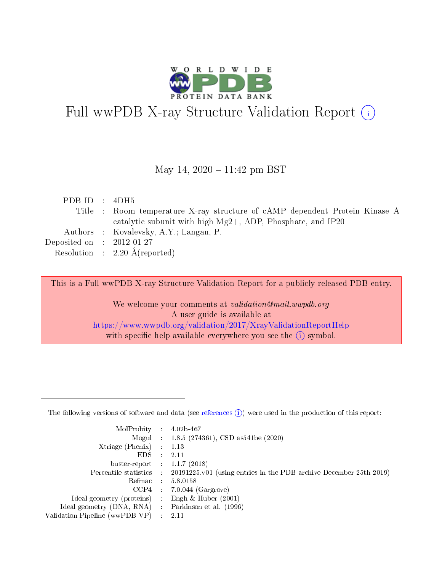

# Full wwPDB X-ray Structure Validation Report (i)

May 14,  $2020 - 11:42$  pm BST

| PDB ID : $4DH5$             |                                                                             |
|-----------------------------|-----------------------------------------------------------------------------|
|                             | Title : Room temperature X-ray structure of cAMP dependent Protein Kinase A |
|                             | catalytic subunit with high $Mg2+$ , ADP, Phosphate, and IP20               |
|                             | Authors : Kovalevsky, A.Y.; Langan, P.                                      |
| Deposited on : $2012-01-27$ |                                                                             |
|                             | Resolution : $2.20 \text{ Å}$ (reported)                                    |
|                             |                                                                             |

This is a Full wwPDB X-ray Structure Validation Report for a publicly released PDB entry.

We welcome your comments at validation@mail.wwpdb.org A user guide is available at <https://www.wwpdb.org/validation/2017/XrayValidationReportHelp> with specific help available everywhere you see the  $(i)$  symbol.

The following versions of software and data (see [references](https://www.wwpdb.org/validation/2017/XrayValidationReportHelp#references)  $(1)$ ) were used in the production of this report:

| $MolProbability$ 4.02b-467                        |                     |                                                                                            |
|---------------------------------------------------|---------------------|--------------------------------------------------------------------------------------------|
|                                                   |                     | Mogul : $1.8.5$ (274361), CSD as 541be (2020)                                              |
| $X$ triage (Phenix) :                             |                     | 1.13                                                                                       |
| EDS –                                             | $\mathcal{L}^{\pm}$ | 2.11                                                                                       |
| buster-report : $1.1.7$ (2018)                    |                     |                                                                                            |
|                                                   |                     | Percentile statistics : 20191225.v01 (using entries in the PDB archive December 25th 2019) |
|                                                   |                     | Refmac $5.8.0158$                                                                          |
|                                                   |                     | $CCP4$ 7.0.044 (Gargrove)                                                                  |
| Ideal geometry (proteins) :                       |                     | Engh $\&$ Huber (2001)                                                                     |
| Ideal geometry (DNA, RNA) Parkinson et al. (1996) |                     |                                                                                            |
| Validation Pipeline (wwPDB-VP) : 2.11             |                     |                                                                                            |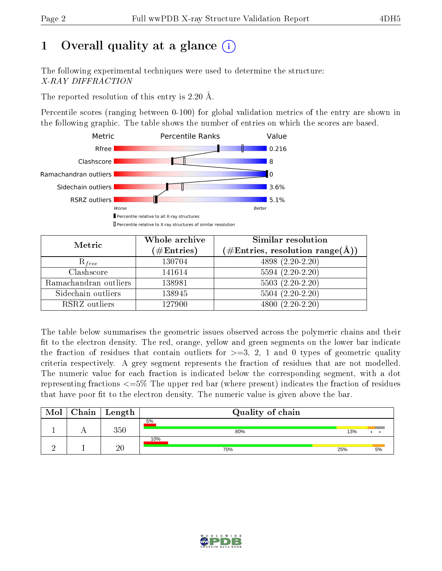# 1 [O](https://www.wwpdb.org/validation/2017/XrayValidationReportHelp#overall_quality)verall quality at a glance  $(i)$

The following experimental techniques were used to determine the structure: X-RAY DIFFRACTION

The reported resolution of this entry is 2.20 Å.

Percentile scores (ranging between 0-100) for global validation metrics of the entry are shown in the following graphic. The table shows the number of entries on which the scores are based.



| Metric                | Whole archive<br>$(\#\mathrm{Entries})$ | Similar resolution<br>$(\#\text{Entries},\,\text{resolution}\,\,\text{range}(\textup{\AA}))$ |
|-----------------------|-----------------------------------------|----------------------------------------------------------------------------------------------|
| $R_{free}$            | 130704                                  | $4898(2.20-2.20)$                                                                            |
| Clashscore            | 141614                                  | $5594(2.20-2.20)$                                                                            |
| Ramachandran outliers | 138981                                  | $5503 (2.20-2.20)$                                                                           |
| Sidechain outliers    | 138945                                  | $5504(2.20-2.20)$                                                                            |
| RSRZ outliers         | 127900                                  | $4800(2.20-2.20)$                                                                            |

The table below summarises the geometric issues observed across the polymeric chains and their fit to the electron density. The red, orange, yellow and green segments on the lower bar indicate the fraction of residues that contain outliers for  $>=3, 2, 1$  and 0 types of geometric quality criteria respectively. A grey segment represents the fraction of residues that are not modelled. The numeric value for each fraction is indicated below the corresponding segment, with a dot representing fractions  $\epsilon=5\%$  The upper red bar (where present) indicates the fraction of residues that have poor fit to the electron density. The numeric value is given above the bar.

| Mol | ${\rm Chain \mid Length}$ | Quality of chain |     |                 |
|-----|---------------------------|------------------|-----|-----------------|
|     | 350                       | 5%<br>80%        | 13% | $\cdot$ $\cdot$ |
|     | 20                        | 10%<br>70%       | 25% | 5%              |

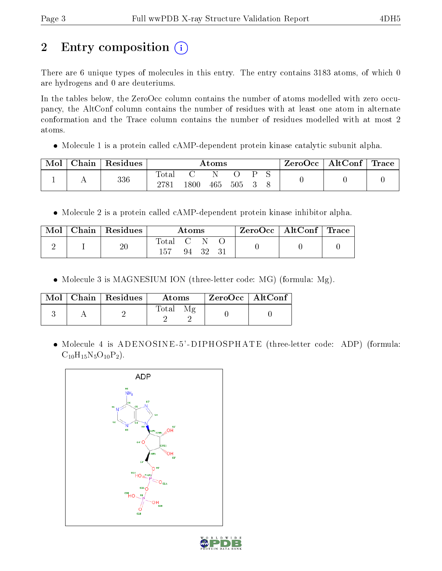# 2 Entry composition (i)

There are 6 unique types of molecules in this entry. The entry contains 3183 atoms, of which 0 are hydrogens and 0 are deuteriums.

In the tables below, the ZeroOcc column contains the number of atoms modelled with zero occupancy, the AltConf column contains the number of residues with at least one atom in alternate conformation and the Trace column contains the number of residues modelled with at most 2 atoms.

• Molecule 1 is a protein called cAMP-dependent protein kinase catalytic subunit alpha.

| Chain | Residues | Atoms        |      |     |     | $\text{ZeroOcc}$   AltConf   Trace |  |  |  |
|-------|----------|--------------|------|-----|-----|------------------------------------|--|--|--|
|       | 336      | <b>Total</b> | 1800 | 465 | 505 |                                    |  |  |  |

• Molecule 2 is a protein called cAMP-dependent protein kinase inhibitor alpha.

| Mol | Chain   Residues | Atoms             |  | ZeroOcc   AltConf   Trace |  |  |  |
|-----|------------------|-------------------|--|---------------------------|--|--|--|
|     |                  | Total C N<br>-157 |  | 94 32 31                  |  |  |  |

• Molecule 3 is MAGNESIUM ION (three-letter code: MG) (formula: Mg).

|  | $Mol$   Chain   Residues | Atoms | ZeroOcc   AltConf |  |
|--|--------------------------|-------|-------------------|--|
|  |                          | Total |                   |  |

• Molecule 4 is ADENOSINE-5'-DIPHOSPHATE (three-letter code: ADP) (formula:  $C_{10}H_{15}N_5O_{10}P_2$ .



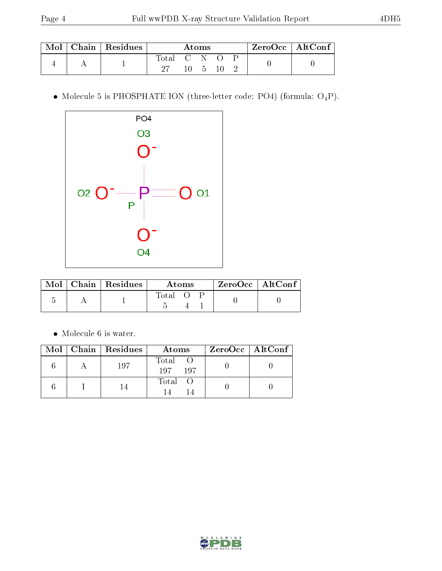|  | Chain   Residues |       |       | Atoms |  | $\rm ZeroOcc$   Alt $\rm Conf$ |
|--|------------------|-------|-------|-------|--|--------------------------------|
|  |                  | Total | $C-N$ |       |  |                                |
|  |                  |       |       |       |  |                                |

 $\bullet$  Molecule 5 is PHOSPHATE ION (three-letter code: PO4) (formula:  $\mathrm{O_4P}) .$ 



|  | $Mol$   Chain   Residues | Atoms |  | $ZeroOcc$   AltConf |  |  |
|--|--------------------------|-------|--|---------------------|--|--|
|  |                          | Total |  |                     |  |  |

 $\bullet\,$  Molecule 6 is water.

|  | $\text{Mol}$   Chain   Residues | Atoms              | $ZeroOcc \   \ AltConf \  $ |
|--|---------------------------------|--------------------|-----------------------------|
|  | 197                             | Total O<br>197 197 |                             |
|  |                                 | Total O            |                             |

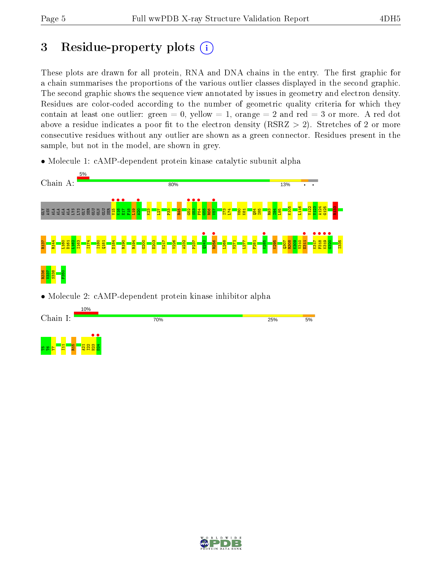## 3 Residue-property plots  $(i)$

These plots are drawn for all protein, RNA and DNA chains in the entry. The first graphic for a chain summarises the proportions of the various outlier classes displayed in the second graphic. The second graphic shows the sequence view annotated by issues in geometry and electron density. Residues are color-coded according to the number of geometric quality criteria for which they contain at least one outlier: green  $= 0$ , yellow  $= 1$ , orange  $= 2$  and red  $= 3$  or more. A red dot above a residue indicates a poor fit to the electron density (RSRZ  $> 2$ ). Stretches of 2 or more consecutive residues without any outlier are shown as a green connector. Residues present in the sample, but not in the model, are shown in grey.

• Molecule 1: cAMP-dependent protein kinase catalytic subunit alpha



• Molecule 2: cAMP-dependent protein kinase inhibitor alpha

|                                                    | 10%               |   |     |     |    |
|----------------------------------------------------|-------------------|---|-----|-----|----|
| Chain I:                                           |                   |   | 70% | 25% | 5% |
|                                                    |                   |   |     |     |    |
|                                                    |                   | ⋰ |     |     |    |
| $\vert$ $\vert$<br>$\Omega$<br>e a<br>$\mathbf{a}$ | $\mathbf{r}$<br>œ | н |     |     |    |

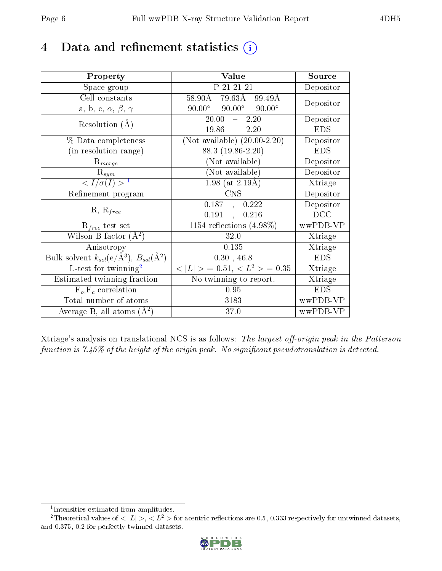## 4 Data and refinement statistics  $(i)$

| Property                                                         | Value                                              | Source     |
|------------------------------------------------------------------|----------------------------------------------------|------------|
| Space group                                                      | P 21 21 21                                         | Depositor  |
| Cell constants                                                   | 79.63Å<br>$58.90\text{\AA}$<br>99.49Å              | Depositor  |
| a, b, c, $\alpha$ , $\beta$ , $\gamma$                           | $90.00^{\circ}$ $90.00^{\circ}$<br>$90.00^{\circ}$ |            |
| Resolution $(A)$                                                 | 20.00<br>$\frac{1}{2}$<br>2.20                     | Depositor  |
|                                                                  | 19.86<br>$-2.20$                                   | <b>EDS</b> |
| % Data completeness                                              | (Not available) $(20.00-2.20)$                     | Depositor  |
| (in resolution range)                                            | 88.3 (19.86-2.20)                                  | <b>EDS</b> |
| $R_{merge}$                                                      | (Not available)                                    | Depositor  |
| $\mathrm{R}_{sym}$                                               | (Not available)                                    | Depositor  |
| $\langle I/\sigma(I) \rangle^{-1}$                               | 1.98 (at $2.19\text{\AA}$ )                        | Xtriage    |
| Refinement program                                               | <b>CNS</b>                                         | Depositor  |
| $R, R_{free}$                                                    | 0.187,<br>0.222                                    | Depositor  |
|                                                                  | 0.191<br>0.216<br>$\ddot{\phantom{a}}$             | DCC        |
| $R_{free}$ test set                                              | $\overline{1154}$ reflections $(4.98\%)$           | wwPDB-VP   |
| Wilson B-factor $(A^2)$                                          | 32.0                                               | Xtriage    |
| Anisotropy                                                       | 0.135                                              | Xtriage    |
| Bulk solvent $k_{sol}(\text{e}/\text{A}^3), B_{sol}(\text{A}^2)$ | 0.30, 46.8                                         | <b>EDS</b> |
| L-test for twinning <sup>2</sup>                                 | $< L >$ = 0.51, $< L^2 >$ = 0.35                   | Xtriage    |
| Estimated twinning fraction                                      | No twinning to report.                             | Xtriage    |
| $F_o, F_c$ correlation                                           | 0.95                                               | <b>EDS</b> |
| Total number of atoms                                            | 3183                                               | wwPDB-VP   |
| Average B, all atoms $(A^2)$                                     | 37.0                                               | wwPDB-VP   |

Xtriage's analysis on translational NCS is as follows: The largest off-origin peak in the Patterson function is  $7.45\%$  of the height of the origin peak. No significant pseudotranslation is detected.

<sup>&</sup>lt;sup>2</sup>Theoretical values of  $\langle |L| \rangle$ ,  $\langle L^2 \rangle$  for acentric reflections are 0.5, 0.333 respectively for untwinned datasets, and 0.375, 0.2 for perfectly twinned datasets.



<span id="page-5-1"></span><span id="page-5-0"></span><sup>1</sup> Intensities estimated from amplitudes.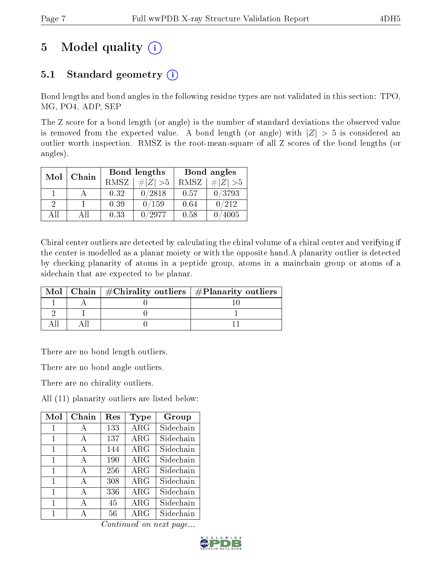# 5 Model quality  $(i)$

## 5.1 Standard geometry  $(i)$

Bond lengths and bond angles in the following residue types are not validated in this section: TPO, MG, PO4, ADP, SEP

The Z score for a bond length (or angle) is the number of standard deviations the observed value is removed from the expected value. A bond length (or angle) with  $|Z| > 5$  is considered an outlier worth inspection. RMSZ is the root-mean-square of all Z scores of the bond lengths (or angles).

| Mol | Chain |             | Bond lengths  | Bond angles |             |  |
|-----|-------|-------------|---------------|-------------|-------------|--|
|     |       | <b>RMSZ</b> | $\# Z  > 5$   | RMSZ        | $\# Z  > 5$ |  |
|     |       | 0.32        | 0/2818        | 0.57        | 0/3793      |  |
| 9   |       | 0.39        | 0/159         | 0.64        | 0/212       |  |
| ΔH  | Αll   | 0.33        | $^\prime2977$ | 0.58        | 4005        |  |

Chiral center outliers are detected by calculating the chiral volume of a chiral center and verifying if the center is modelled as a planar moiety or with the opposite hand.A planarity outlier is detected by checking planarity of atoms in a peptide group, atoms in a mainchain group or atoms of a sidechain that are expected to be planar.

|  | Mol   Chain   $\#\text{Chirality outliers}$   $\#\text{Planarity outliers}$ |
|--|-----------------------------------------------------------------------------|
|  |                                                                             |
|  |                                                                             |
|  |                                                                             |

There are no bond length outliers.

There are no bond angle outliers.

There are no chirality outliers.

All (11) planarity outliers are listed below:

| Mol | Chain | $\operatorname{Res}% \left( \mathcal{N}\right) \equiv\operatorname{Res}(\mathcal{N}_{0})\cap\mathcal{N}_{1}$ | Type       | Group     |
|-----|-------|--------------------------------------------------------------------------------------------------------------|------------|-----------|
| 1   | A     | 133                                                                                                          | $\rm{ARG}$ | Sidechain |
| 1   | A     | 137                                                                                                          | $\rm{ARG}$ | Sidechain |
| 1   | А     | 144                                                                                                          | $\rm{ARG}$ | Sidechain |
| 1   | A     | 190                                                                                                          | $\rm{ARG}$ | Sidechain |
| 1   | A     | 256                                                                                                          | $\rm{ARG}$ | Sidechain |
| 1   | A     | 308                                                                                                          | $\rm{ARG}$ | Sidechain |
| 1   | A     | 336                                                                                                          | $\rm{ARG}$ | Sidechain |
| 1   | A     | 45                                                                                                           | $\rm{ARG}$ | Sidechain |
| 1   | А     | 56                                                                                                           | $\rm{ARG}$ | Sidechain |

Continued on next page...

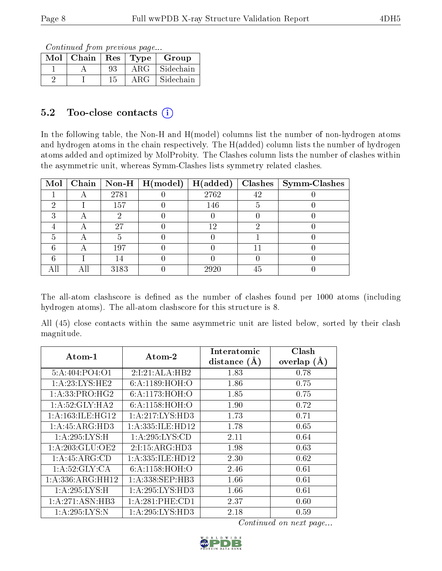Continued from previous page...

| Mol | Chain | $\operatorname{Res}$ | Type       | Group     |
|-----|-------|----------------------|------------|-----------|
|     |       | 93                   | $\rm{ARG}$ | Sidechain |
|     |       | 15                   | ARG        | Sidechain |

### 5.2 Too-close contacts  $(i)$

In the following table, the Non-H and H(model) columns list the number of non-hydrogen atoms and hydrogen atoms in the chain respectively. The H(added) column lists the number of hydrogen atoms added and optimized by MolProbity. The Clashes column lists the number of clashes within the asymmetric unit, whereas Symm-Clashes lists symmetry related clashes.

|  |      |      |    | Mol   Chain   Non-H   H(model)   H(added)   Clashes   Symm-Clashes |
|--|------|------|----|--------------------------------------------------------------------|
|  | 2781 | 2762 | 42 |                                                                    |
|  | 157  | 146  |    |                                                                    |
|  |      |      |    |                                                                    |
|  | 27   | 12   |    |                                                                    |
|  |      |      |    |                                                                    |
|  | 197  |      |    |                                                                    |
|  |      |      |    |                                                                    |
|  | 3183 | 2920 | 45 |                                                                    |

The all-atom clashscore is defined as the number of clashes found per 1000 atoms (including hydrogen atoms). The all-atom clashscore for this structure is 8.

All (45) close contacts within the same asymmetric unit are listed below, sorted by their clash magnitude.

| $Atom-1$             | Atom-2             | Interatomic    | Clash         |
|----------------------|--------------------|----------------|---------------|
|                      |                    | distance $(A)$ | overlap $(A)$ |
| 5: A:404:PO4:O1      | 2:1:21:ALA:HB2     | 1.83           | 0.78          |
| 1: A:23: LYS: HE2    | 6: A:1189:HOH:O    | 1.86           | 0.75          |
| 1:A:33:PRO:HG2       | 6: A: 1173: HOH:O  | 1.85           | 0.75          |
| 1: A:52: GLY: HA2    | 6: A:1158:HOH:O    | 1.90           | 0.72          |
| 1: A: 163: ILE: HG12 | 1:A:217:LYS:HD3    | 1.73           | 0.71          |
| 1:A:45:ARG:HD3       | 1:A:335:ILE:HD12   | 1.78           | 0.65          |
| 1: A:295: LYS:H      | 1: A:295: LYS:CD   | 2.11           | 0.64          |
| 1:A:203:GLU:OE2      | 2:1:15:ARG:HD3     | 1.98           | 0.63          |
| 1: A:45: ARG:CD      | 1:A:335:ILE:HD12   | 2.30           | 0.62          |
| 1: A:52: GLY:CA      | 6: A:1158:HOH:O    | 2.46           | 0.61          |
| 1:A:336:ARG:HH12     | 1: A:338: SEP:HB3  | 1.66           | 0.61          |
| 1: A:295: LYS:H      | 1: A:295: LYS: HD3 | $1.66\,$       | 0.61          |
| 1: A:271: ASN:HB3    | 1:A:281:PHE:CD1    | 2.37           | 0.60          |
| 1: A:295:LYS:N       | 1: A:295: LYS: HD3 | 2.18           | 0.59          |

Continued on next page...

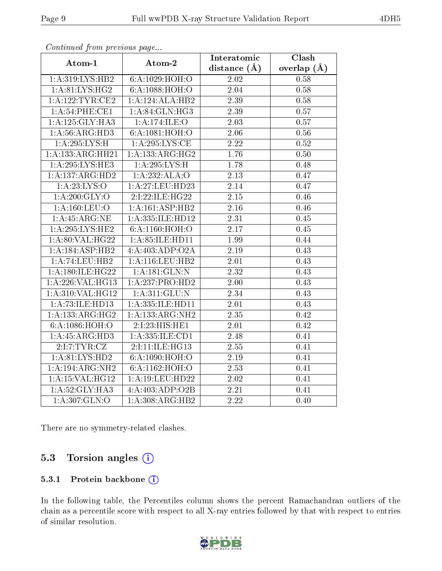| continuou promonous pago   |                              | Interatomic       | Clash         |  |
|----------------------------|------------------------------|-------------------|---------------|--|
| Atom-1                     | Atom-2                       | distance $(A)$    | overlap $(A)$ |  |
| 1: A:319: LYS: HB2         | 6:A:1029:HOH:O               | 2.02              | 0.58          |  |
| 1: A:81: LYS: HG2          | 6:A:1088:HOH:O               | $2.04\,$          | 0.58          |  |
| 1:A:122:TYR:CE2            | 1:A:124:ALA:HB2              | 2.39              | 0.58          |  |
| 1:A:54:PHE:CE1             | 1: A:84: GLN:HG3             | 2.39              | $0.57\,$      |  |
| 1:A:125:GLY:HA3            | 1:A:174:ILE:O                | 2.03              | $0.57\,$      |  |
| 1: A:56: ARG:HD3           | 6:A:1081:HOH:O               | 2.06              | 0.56          |  |
| 1: A:295:LYS:H             | 1: A:295:LYS:CE              | $\overline{2.22}$ | 0.52          |  |
| 1:A:133:ARG:HH21           | $1:A:133:ARG:H\overline{G2}$ | 1.76              | $0.50\,$      |  |
| 1: A:295: LYS: HE3         | 1: A:295: LYS:H              | 1.78              | 0.48          |  |
| 1:A:137:ARG:HD2            | 1:A:232:ALA:O                | 2.13              | 0.47          |  |
| 1:A:23:LYS:O               | 1:A:27:LEU:HD23              | $\overline{2.14}$ | 0.47          |  |
| 1: A:200: GLY:O            | 2:I:22:ILE:HG22              | 2.15              | 0.46          |  |
| $1:$ A:160:LEU:O           | 1:A:161:ASP:HB2              | 2.16              | 0.46          |  |
| 1:A:45:ARG:NE              | 1:A:335:ILE:HD12             | 2.31              | 0.45          |  |
| 1: A:295:LYS:HE2           | 6:A:1160:HOH:O               | 2.17              | 0.45          |  |
| 1:A:80:VAL:HG22            | 1: A:85: ILE: HDI1           | 1.99              | 0.44          |  |
| 1: A: 184: ASP: HB2        | 4:A:403:ADP:O2A              | 2.19              | 0.43          |  |
| 1:A:74:LEU:HB2             | 1: A:116:LEU:HB2             | 2.01              | 0.43          |  |
| 1:A:180:ILE:HG22           | 1:A:181:GLN:N                | 2.32              | 0.43          |  |
| 1:A:226:VAL:HG13           | 1:A:237:PRO:HD2              | 2.00              | 0.43          |  |
| 1:A:310:VAL:HG12           | 1: A:311: GLU:N              | 2.34              | 0.43          |  |
| 1:A:73:ILE:HD13            | 1:A:335:ILE:HD11             | 2.01              | 0.43          |  |
| 1:A:133:ARG:HG2            | 1:A:133:ARG:NH2              | 2.35              | 0.42          |  |
| 6:A:1086:HOH:O             | 2:I:23:HIS:HE1               | 2.01              | 0.42          |  |
| 1:A:45:ARG:HD3             | 1:A:335:ILE:CD1              | 2.48              | 0.41          |  |
| 2:I:TYR:CZ                 | 2:I:11:ILE:HG13              | 2.55              | 0.41          |  |
| 1: A:81:LYS:HD2            | 6:A:1090:HOH:O               | 2.19              | 0.41          |  |
| 1:A:194:ARG:NH2            | 6:A:1162:HOH:O               | 2.53              | 0.41          |  |
| $1:$ A:15:VAL:HG12         | 1:A:19:LEU:HD22              | 2.02              | 0.41          |  |
| 1: A:52: GLY: HA3          | 4:A:403:ADP:O2B              | $\overline{2.21}$ | 0.41          |  |
| $1:A:\overline{307:GLN:O}$ | 1:A:308:ARG:HB2              | $\overline{2.22}$ | 0.40          |  |

Continued from previous page.

There are no symmetry-related clashes.

### 5.3 Torsion angles (i)

#### 5.3.1 Protein backbone (i)

In the following table, the Percentiles column shows the percent Ramachandran outliers of the chain as a percentile score with respect to all X-ray entries followed by that with respect to entries of similar resolution.

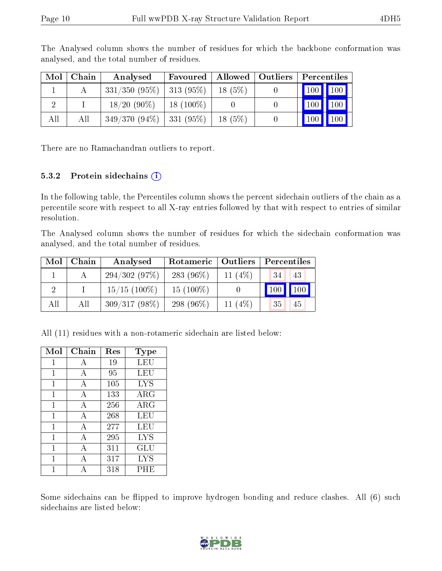| Mol | Chain | Analysed                      | Favoured   Allowed   Outliers |           | Percentiles                     |                     |
|-----|-------|-------------------------------|-------------------------------|-----------|---------------------------------|---------------------|
|     |       | $331/350$ (95\%)   313 (95\%) |                               | $18(5\%)$ | $\vert$ 100 $\vert$ 100 $\vert$ |                     |
|     |       | $18/20(90\%)$                 | $18(100\%)$                   |           | 100                             | $\vert$ 100         |
| All | All   | $349/370(94\%)$   331 (95\%)  |                               | $18(5\%)$ | 100                             | $\vert$ 100 $\vert$ |

The Analysed column shows the number of residues for which the backbone conformation was analysed, and the total number of residues.

There are no Ramachandran outliers to report.

#### 5.3.2 Protein sidechains  $(i)$

In the following table, the Percentiles column shows the percent sidechain outliers of the chain as a percentile score with respect to all X-ray entries followed by that with respect to entries of similar resolution.

The Analysed column shows the number of residues for which the sidechain conformation was analysed, and the total number of residues.

|     | $Mol$   Chain | Analysed        | Rotameric    | Outliers  |                              |
|-----|---------------|-----------------|--------------|-----------|------------------------------|
|     |               | 294/302(97%)    | 283 $(96\%)$ | 11 $(4%)$ | 43<br>34                     |
|     |               | $15/15$ (100\%) | $15(100\%)$  |           | $\mid$ 100 $\mid$ 100 $\mid$ |
| All | All           | $309/317(98\%)$ | 298 $(96\%)$ | 11 $(4%)$ | 35<br>45                     |

All (11) residues with a non-rotameric sidechain are listed below:

| Mol          | Chain | Res | Type       |
|--------------|-------|-----|------------|
| 1            | А     | 19  | LEU        |
| 1            | А     | 95  | LEU        |
| 1            | А     | 105 | <b>LYS</b> |
| $\mathbf{1}$ | А     | 133 | $\rm{ARG}$ |
| 1            | А     | 256 | $\rm{ARG}$ |
| 1            | А     | 268 | LEU        |
| 1            | А     | 277 | LEU        |
| 1            | A     | 295 | <b>LYS</b> |
| 1            | А     | 311 | GLU        |
| 1            | А     | 317 | <b>LYS</b> |
|              | А     | 318 | PHE        |

Some sidechains can be flipped to improve hydrogen bonding and reduce clashes. All (6) such sidechains are listed below:

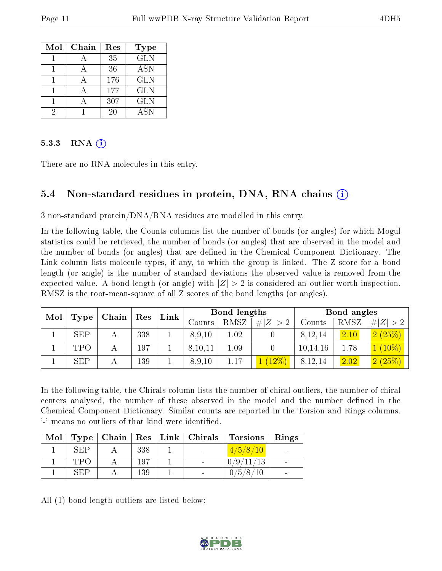| Mol | Chain | Res | Type       |
|-----|-------|-----|------------|
|     |       | 35  | <b>GLN</b> |
|     |       | 36  | <b>ASN</b> |
|     |       | 176 | <b>GLN</b> |
|     |       | 177 | <b>GLN</b> |
|     |       | 307 | <b>GLN</b> |
|     |       | 20  | A SN       |

#### 5.3.3 RNA  $(i)$

There are no RNA molecules in this entry.

### 5.4 Non-standard residues in protein, DNA, RNA chains (i)

3 non-standard protein/DNA/RNA residues are modelled in this entry.

In the following table, the Counts columns list the number of bonds (or angles) for which Mogul statistics could be retrieved, the number of bonds (or angles) that are observed in the model and the number of bonds (or angles) that are dened in the Chemical Component Dictionary. The Link column lists molecule types, if any, to which the group is linked. The Z score for a bond length (or angle) is the number of standard deviations the observed value is removed from the expected value. A bond length (or angle) with  $|Z| > 2$  is considered an outlier worth inspection. RMSZ is the root-mean-square of all Z scores of the bond lengths (or angles).

| Mol |            | ${\rm Res}$ | Link |  | Bond lengths |        |             | Bond angles |        |        |             |
|-----|------------|-------------|------|--|--------------|--------|-------------|-------------|--------|--------|-------------|
|     | Type       | Chain       |      |  |              | Counts | <b>RMSZ</b> | Z<br>$#^+$  | Counts | RMSZ   | # $ Z  > 2$ |
|     | <b>SEP</b> |             | 338  |  | 8,9,10       | 1.02   |             | 8,12,14     | 2.10   | 2(25%) |             |
|     | TPO        |             | 197  |  | 8,10,11      | 1.09   |             | 10, 14, 16  | 1.78   | $10\%$ |             |
|     | <b>SEP</b> |             | 139  |  | 8,9,10       | 1.17   | $12\%$      | 8,12,14     | 2.02   | 2(25%) |             |

In the following table, the Chirals column lists the number of chiral outliers, the number of chiral centers analysed, the number of these observed in the model and the number defined in the Chemical Component Dictionary. Similar counts are reported in the Torsion and Rings columns. '-' means no outliers of that kind were identified.

|            | $Mol$   Type   Chain |     | $\vert$ Res $\vert$ Link $\vert$ Chirals | <b>Torsions</b> | Rings |
|------------|----------------------|-----|------------------------------------------|-----------------|-------|
| <b>SEP</b> |                      | 338 |                                          | 4/5/8/10        |       |
| TPO        |                      | 197 |                                          | 0/9/11/13       |       |
| SEP        |                      | 139 | $\overline{\phantom{0}}$                 | 0/5/8/10        |       |

All (1) bond length outliers are listed below:

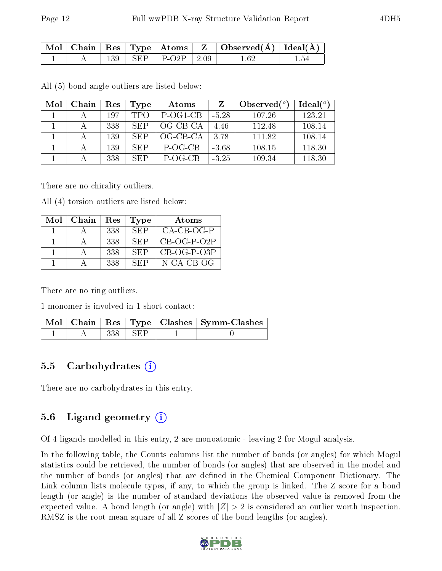|  |  |                                  | $\mid$ Mol $\mid$ Chain $\mid$ Res $\mid$ Type $\mid$ Atoms $\mid$ $\mid$ Z $\mid$ Observed(Å) $\mid$ Ideal(Å) $\mid$ |  |
|--|--|----------------------------------|-----------------------------------------------------------------------------------------------------------------------|--|
|  |  | $\vert$ 139   SEP   P-O2P   2.09 | 1 62                                                                                                                  |  |

All (5) bond angle outliers are listed below:

| Mol | Chain | Res | Type | Atoms      |         | Observed $(°)$ | $Ideal(^o)$ |
|-----|-------|-----|------|------------|---------|----------------|-------------|
|     |       | 197 | TPO  | P-OG1-CB   | $-5.28$ | 107.26         | 123.21      |
|     |       | 338 | SEP  | OG-CB-CA   | 4.46    | 112.48         | 108.14      |
|     |       | 139 | SEP  | $OG-CB-CA$ | 3.78    | 111.82         | 108.14      |
|     |       | 139 | SEP  | P-OG-CB    | $-3.68$ | 108.15         | 118.30      |
|     |       | 338 | SEP  | P-OG-CB    | $-3.25$ | 109.34         | 118.30      |

There are no chirality outliers.

All (4) torsion outliers are listed below:

| Mol | Chain | Res | <b>Type</b> | Atoms         |
|-----|-------|-----|-------------|---------------|
|     |       | 338 | SEP         | $CA-CB-OG-P$  |
|     |       | 338 | SEP         | $CB-OG-P-O2P$ |
|     |       | 338 | <b>SEP</b>  | $CB-OG-P-O3P$ |
|     |       | 338 | SEP         | N-CA-CB-OG    |

There are no ring outliers.

1 monomer is involved in 1 short contact:

|  |            | Mol   Chain   Res   Type   Clashes   Symm-Clashes |
|--|------------|---------------------------------------------------|
|  | -338   SEP |                                                   |

#### 5.5 Carbohydrates  $(i)$

There are no carbohydrates in this entry.

### 5.6 Ligand geometry (i)

Of 4 ligands modelled in this entry, 2 are monoatomic - leaving 2 for Mogul analysis.

In the following table, the Counts columns list the number of bonds (or angles) for which Mogul statistics could be retrieved, the number of bonds (or angles) that are observed in the model and the number of bonds (or angles) that are defined in the Chemical Component Dictionary. The Link column lists molecule types, if any, to which the group is linked. The Z score for a bond length (or angle) is the number of standard deviations the observed value is removed from the expected value. A bond length (or angle) with  $|Z| > 2$  is considered an outlier worth inspection. RMSZ is the root-mean-square of all Z scores of the bond lengths (or angles).

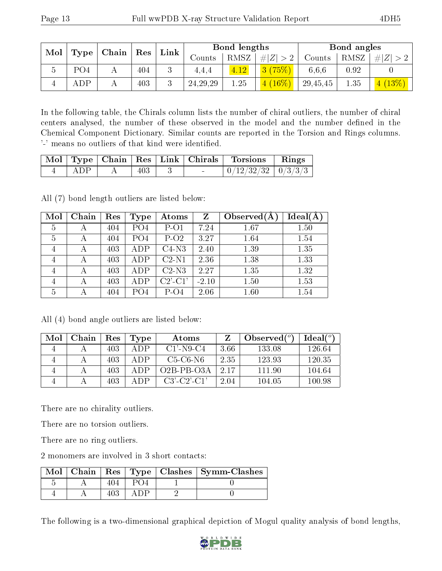| Mol | Type            | $\mid$ Chain $\mid$ Res |     | Link |               | Bond lengths |             |          | Bond angles |          |  |
|-----|-----------------|-------------------------|-----|------|---------------|--------------|-------------|----------|-------------|----------|--|
|     |                 |                         |     |      | $\rm{Counts}$ | RMSZ         | # $ Z  > 2$ | Counts   | RMSZ        | $\# Z >$ |  |
|     | PO <sub>4</sub> |                         | 404 |      | 4,4,4         | 4.12         | 3(75%)      | 6,6,6    | 0.92        |          |  |
|     | <b>ADP</b>      |                         | 403 |      | 24, 29, 29    | 1.25         | $4(16\%)$   | 29,45,45 | 1.35        | (13%)    |  |

In the following table, the Chirals column lists the number of chiral outliers, the number of chiral centers analysed, the number of these observed in the model and the number defined in the Chemical Component Dictionary. Similar counts are reported in the Torsion and Rings columns. '-' means no outliers of that kind were identified.

|     |     |  | Mol   Type   Chain   Res   Link   Chirals   Torsions   Rings |  |
|-----|-----|--|--------------------------------------------------------------|--|
| ADP | 403 |  | $\mid 0/12/32/32 \mid 0/3/3/3 \mid$                          |  |

All (7) bond length outliers are listed below:

| Mol            | Chain | Res | Type            | Atoms                                 | $\mathbf{Z}$ | Observed $(A)$ | Ideal(A) |
|----------------|-------|-----|-----------------|---------------------------------------|--------------|----------------|----------|
| 5              |       | 404 | PO <sub>4</sub> | $P-O1$                                | 7.24         | 1.67           | 1.50     |
| 5              |       | 404 | PO <sub>4</sub> | $P-O2$                                | 3.27         | 1.64           | 1.54     |
| 4              |       | 403 | ADP             | $C4-N3$                               | 2.40         | 1.39           | 1.35     |
| 4              |       | 403 | <b>ADP</b>      | $C2-N1$                               | 2.36         | 1.38           | 1.33     |
| 4              |       | 403 | ADP             | $C2-N3$                               | 2.27         | 1.35           | 1.32     |
| $\overline{4}$ |       | 403 | ADP             | $C2$ <sup>'</sup> - $C1$ <sup>'</sup> | $-2.10$      | 1.50           | 1.53     |
| 5              |       | 404 | PO4             | $P-O4$                                | 2.06         | 1.60           | 1.54     |

All (4) bond angle outliers are listed below:

| Mol | Chain | Res | Type | Atoms             |      | Observed $(°)$ | $\text{Ideal}({}^o)$ |
|-----|-------|-----|------|-------------------|------|----------------|----------------------|
| 4   |       | 403 | A DP | $C1'$ -N9-C4      | 3.66 | 133.08         | 126.64               |
| 4   |       | 403 | A DP | $C5-C6-N6$        | 2.35 | 123.93         | 120.35               |
| 4   |       | 403 | A DP | $O2B-PB-O3A$      | 2.17 | 111.90         | 104.64               |
| 4   |       | 403 | ADP  | $C3'$ $C2'$ $C1'$ | 2.04 | 104.05         | 100.98               |

There are no chirality outliers.

There are no torsion outliers.

There are no ring outliers.

2 monomers are involved in 3 short contacts:

|  |  |  | Mol   Chain   Res   Type   Clashes   Symm-Clashes |
|--|--|--|---------------------------------------------------|
|  |  |  |                                                   |
|  |  |  |                                                   |

The following is a two-dimensional graphical depiction of Mogul quality analysis of bond lengths,

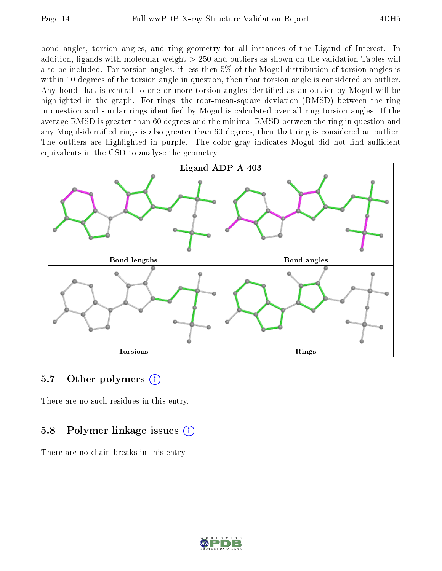bond angles, torsion angles, and ring geometry for all instances of the Ligand of Interest. In addition, ligands with molecular weight > 250 and outliers as shown on the validation Tables will also be included. For torsion angles, if less then 5% of the Mogul distribution of torsion angles is within 10 degrees of the torsion angle in question, then that torsion angle is considered an outlier. Any bond that is central to one or more torsion angles identified as an outlier by Mogul will be highlighted in the graph. For rings, the root-mean-square deviation (RMSD) between the ring in question and similar rings identified by Mogul is calculated over all ring torsion angles. If the average RMSD is greater than 60 degrees and the minimal RMSD between the ring in question and any Mogul-identified rings is also greater than 60 degrees, then that ring is considered an outlier. The outliers are highlighted in purple. The color gray indicates Mogul did not find sufficient equivalents in the CSD to analyse the geometry.



#### 5.7 [O](https://www.wwpdb.org/validation/2017/XrayValidationReportHelp#nonstandard_residues_and_ligands)ther polymers  $(i)$

There are no such residues in this entry.

#### 5.8 Polymer linkage issues  $(i)$

There are no chain breaks in this entry.

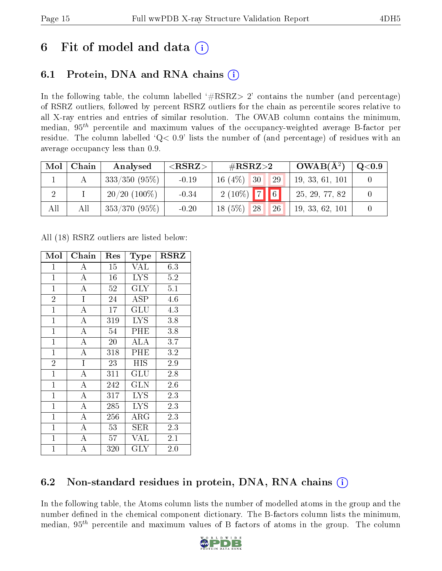## 6 Fit of model and data  $\left( \frac{1}{2} \right)$

### 6.1 Protein, DNA and RNA chains (i)

In the following table, the column labelled  $#RSRZ>2'$  contains the number (and percentage) of RSRZ outliers, followed by percent RSRZ outliers for the chain as percentile scores relative to all X-ray entries and entries of similar resolution. The OWAB column contains the minimum, median,  $95<sup>th</sup>$  percentile and maximum values of the occupancy-weighted average B-factor per residue. The column labelled  $Q< 0.9$  lists the number of (and percentage) of residues with an average occupancy less than 0.9.

| Mol | Chain | Analysed        | ${ <\hspace{-1.5pt}{\mathrm{RSRZ}} \hspace{-1.5pt}>}$ | $\#\text{RSRZ}\text{>2}$ | $OWAB(A^2)$     | Q <sub>0.9</sub> |
|-----|-------|-----------------|-------------------------------------------------------|--------------------------|-----------------|------------------|
|     |       | $333/350(95\%)$ | $-0.19$                                               | 16 $(4%)$<br>30<br>29    | 19, 33, 61, 101 |                  |
|     |       | $20/20$ (100%)  | $-0.34$                                               | $2(10\%)$ 7 6            | 25, 29, 77, 82  |                  |
| All | All   | $353/370(95\%)$ | $-0.20$                                               | $18(5\%)$<br>28<br>26    | 19, 33, 62, 101 |                  |

All (18) RSRZ outliers are listed below:

| Mol            | Chain              | Res | <b>Type</b>             | $_{\rm RSRZ}$ |
|----------------|--------------------|-----|-------------------------|---------------|
| $\overline{1}$ | A                  | 15  | VAL                     | 6.3           |
| $\mathbf{1}$   | $\bf{A}$           | 16  | <b>LYS</b>              | 5.2           |
| $\mathbf{1}$   | $\bf{A}$           | 52  | $\overline{\text{GLY}}$ | 5.1           |
| $\overline{2}$ | I                  | 24  | <b>ASP</b>              | 4.6           |
| $\overline{1}$ | A                  | 17  | GLU                     | 4.3           |
| $\mathbf{1}$   | A                  | 319 | <b>LYS</b>              | 3.8           |
| $\mathbf{1}$   | A                  | 54  | PHE                     | 3.8           |
| $\mathbf{1}$   | $\overline{\rm A}$ | 20  | ALA                     | 3.7           |
| $\mathbf{1}$   | A                  | 318 | PHE                     | 3.2           |
| $\overline{2}$ | I                  | 23  | HIS                     | 2.9           |
| $\mathbf{1}$   | А                  | 311 | GLU                     | 2.8           |
| $\mathbf{1}$   | $\overline{\rm A}$ | 242 | GLN                     | 2.6           |
| $\mathbf{1}$   | $\overline{A}$     | 317 | <b>LYS</b>              | 2.3           |
| $\mathbf{1}$   | $\overline{A}$     | 285 | <b>LYS</b>              | 2.3           |
| $\mathbf{1}$   | A                  | 256 | $\rm{ARG}$              | 2.3           |
| $\mathbf{1}$   | A                  | 53  | <b>SER</b>              | 2.3           |
| $\mathbf{1}$   | А                  | 57  | VAL                     | 2.1           |
| $\mathbf{1}$   | А                  | 320 | $\rm GLY$               | $2.0\,$       |

### 6.2 Non-standard residues in protein, DNA, RNA chains (i)

In the following table, the Atoms column lists the number of modelled atoms in the group and the number defined in the chemical component dictionary. The B-factors column lists the minimum, median,  $95<sup>th</sup>$  percentile and maximum values of B factors of atoms in the group. The column

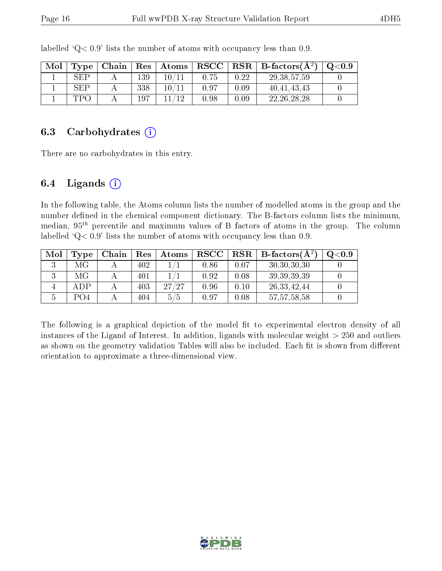| Mol | Type       | Chain | $\operatorname{Res}$ | Atoms | $\bf RSCC$ | $+$ $\bf RSR$ | B-factors $(A^2)$ | Q <sub>0.9</sub> |
|-----|------------|-------|----------------------|-------|------------|---------------|-------------------|------------------|
|     | SEP        |       | 139                  | 10/11 |            | 0.22          | 29, 38, 57, 59    |                  |
|     | <b>SEP</b> |       | 338                  | 10/11 | 0.97       | 0.09          | 40, 41, 43, 43    |                  |
|     | TPG        |       | 197                  | 11/19 | 0.98       | 0.09          | 22, 26, 28, 28    |                  |

labelled  $Q< 0.9$  lists the number of atoms with occupancy less than 0.9.

#### 6.3 Carbohydrates  $(i)$

There are no carbohydrates in this entry.

#### 6.4 Ligands  $(i)$

In the following table, the Atoms column lists the number of modelled atoms in the group and the number defined in the chemical component dictionary. The B-factors column lists the minimum, median,  $95<sup>th</sup>$  percentile and maximum values of B factors of atoms in the group. The column labelled  $Q< 0.9$ ' lists the number of atoms with occupancy less than 0.9.

| Mol | Type | Chain | Res | Atoms | $_{\rm RSCC}$ | RSR  | B-factors $(A^2)$ | O <sub>0.9</sub> |
|-----|------|-------|-----|-------|---------------|------|-------------------|------------------|
|     | МG   |       | 402 |       | 0.86          | 0.07 | 30, 30, 30, 30    |                  |
|     | МG   |       | 401 |       | 0.92          | 0.08 | 39, 39, 39, 39    |                  |
|     | ADP  |       | 403 | 27/27 | 0.96          | 0.10 | 26, 33, 42, 44    |                  |
|     | PO4  |       | 404 | 5/5   | 0.97          | 0.08 | 57, 57, 58, 58    |                  |

The following is a graphical depiction of the model fit to experimental electron density of all instances of the Ligand of Interest. In addition, ligands with molecular weight  $> 250$  and outliers as shown on the geometry validation Tables will also be included. Each fit is shown from different orientation to approximate a three-dimensional view.